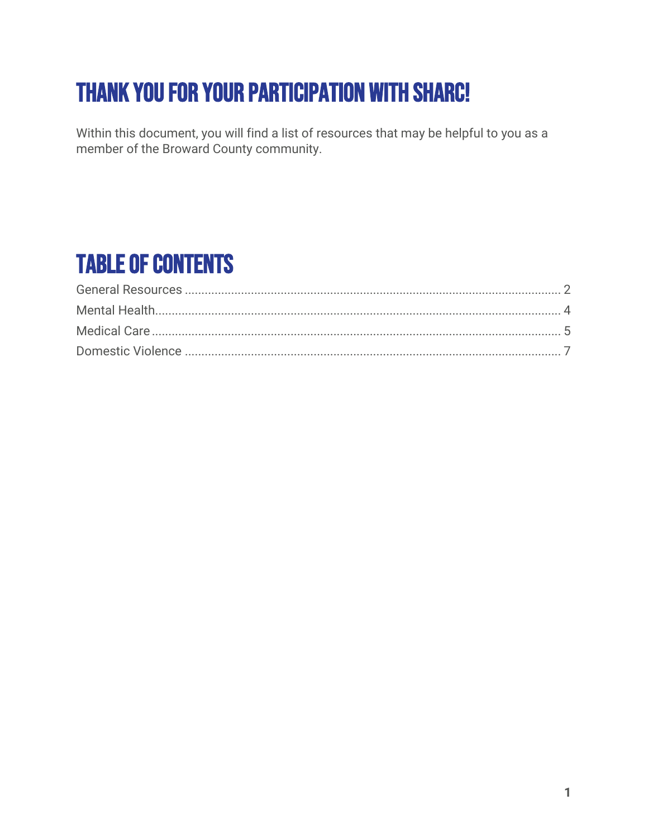# Thank you for your participation with SHARC!

Within this document, you will find a list of resources that may be helpful to you as a member of the Broward County community.

## Table of Contents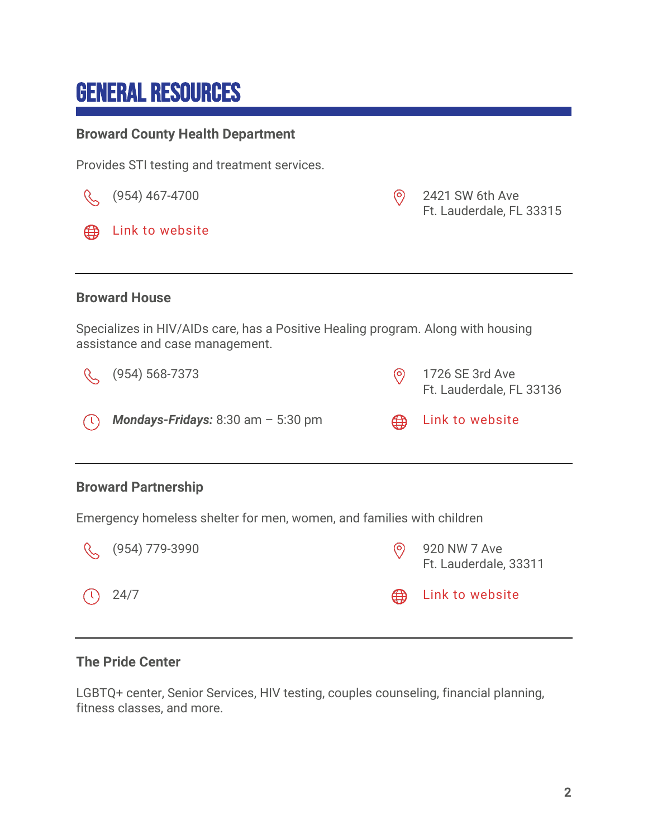### <span id="page-1-0"></span>General Resources

#### **Broward County Health Department**

Provides STI testing and treatment services.



#### **The Pride Center**

LGBTQ+ center, Senior Services, HIV testing, couples counseling, financial planning, fitness classes, and more.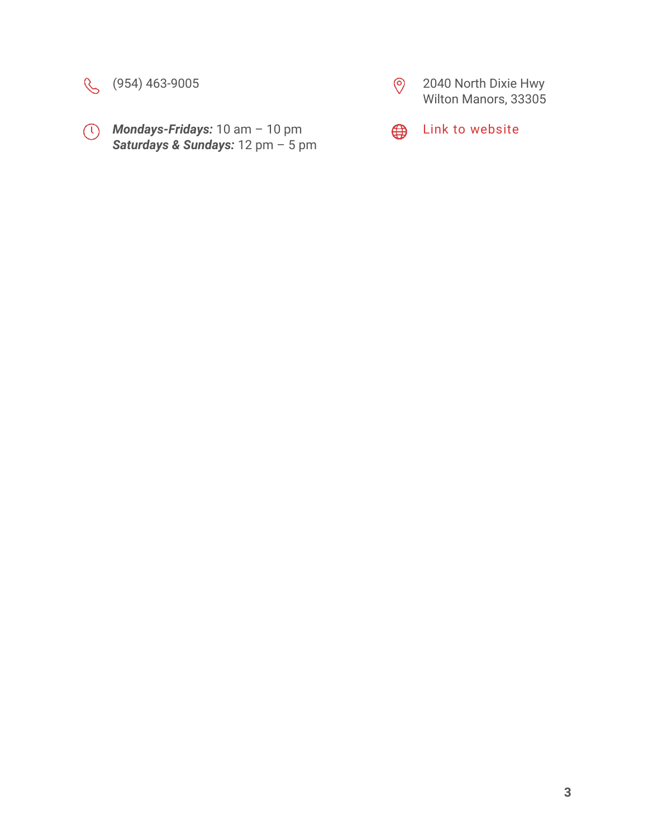

*Mondays-Fridays:* 10 am – 10 pm *Saturdays & Sundays:* 12 pm – 5 pm



(954) 463-9005 2040 North Dixie Hwy Wilton Manors, 33305



**Example 13** [Link to website](https://www.pridecenterflorida.org/)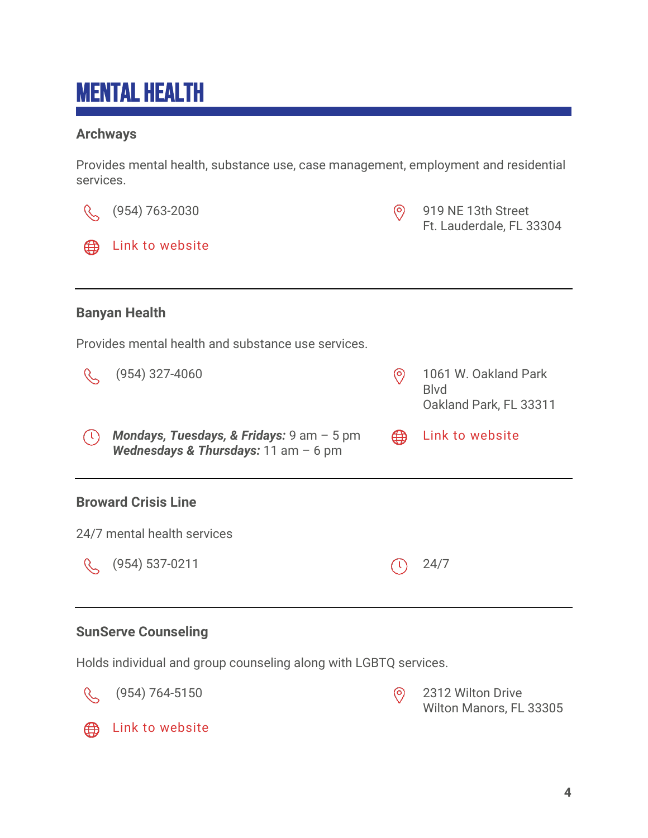# <span id="page-3-0"></span>Mental Health

### **Archways**

Provides mental health, substance use, case management, employment and residential services.



Holds individual and group counseling along with LGBTQ services.





(954) 764-5150 2312 Wilton Drive Wilton Manors, FL 33305



**Example 13 [Link to website](https://www.sunserve.org/)**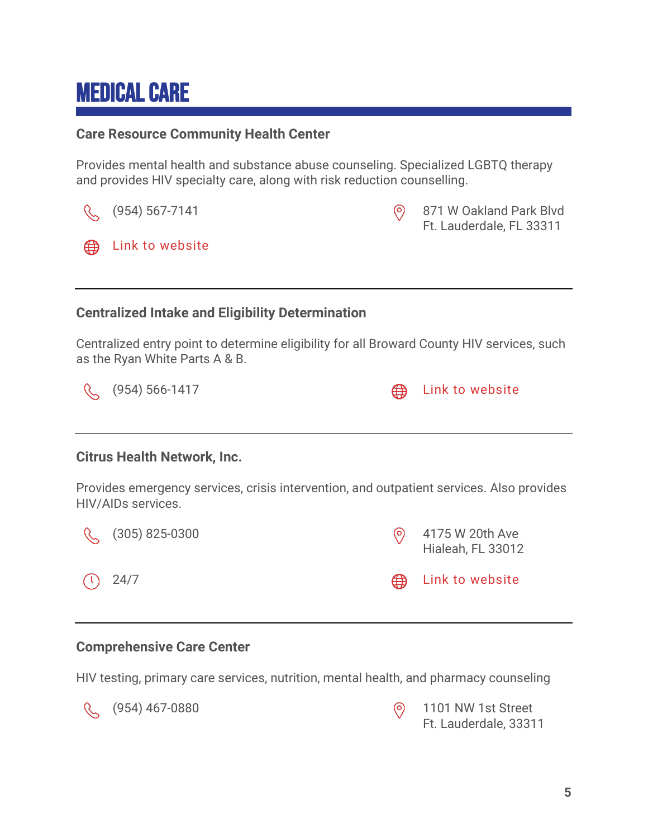## <span id="page-4-0"></span>Medical Care

#### **Care Resource Community Health Center**

Provides mental health and substance abuse counseling. Specialized LGBTQ therapy and provides HIV specialty care, along with risk reduction counselling.

|                                                                                                                              | (954) 567-7141     | $\circledcirc$ | 871 W Oakland Park Blvd<br>Ft. Lauderdale, FL 33311 |  |  |  |
|------------------------------------------------------------------------------------------------------------------------------|--------------------|----------------|-----------------------------------------------------|--|--|--|
| ₩                                                                                                                            | Link to website    |                |                                                     |  |  |  |
|                                                                                                                              |                    |                |                                                     |  |  |  |
| <b>Centralized Intake and Eligibility Determination</b>                                                                      |                    |                |                                                     |  |  |  |
| Centralized entry point to determine eligibility for all Broward County HIV services, such<br>as the Ryan White Parts A & B. |                    |                |                                                     |  |  |  |
|                                                                                                                              | $(954) 566 - 1417$ | ⊕              | Link to website                                     |  |  |  |
|                                                                                                                              |                    |                |                                                     |  |  |  |
| <b>Citrus Health Network, Inc.</b>                                                                                           |                    |                |                                                     |  |  |  |
| Provides emergency services, crisis intervention, and outpatient services. Also provides<br>HIV/AIDs services.               |                    |                |                                                     |  |  |  |
|                                                                                                                              | $(305)$ 825-0300   | $\circledcirc$ | 4175 W 20th Ave<br>Hialeah, FL 33012                |  |  |  |
|                                                                                                                              | 24/7               | ∰              | Link to website                                     |  |  |  |

#### **Comprehensive Care Center**

HIV testing, primary care services, nutrition, mental health, and pharmacy counseling



(954) 467-0880 1101 NW 1st Street

Ft. Lauderdale, 33311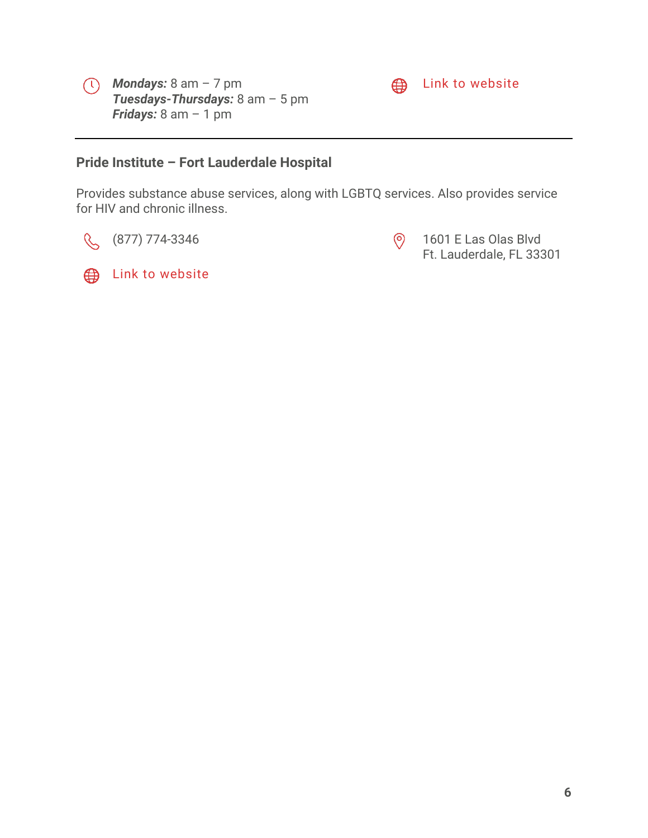



### **Example 15** Link to [website](https://www.browardhealth.org/locations/comprehensive-care-center)

#### **Pride Institute – Fort Lauderdale Hospital**

Provides substance abuse services, along with LGBTQ services. Also provides service for HIV and chronic illness.

 $\mathcal{C}$ 

**ED** Link to [website](https://pride-institute.com/)



(877) 774-3346 (877) 890 1601 E Las Olas Blvd Ft. Lauderdale, FL 33301